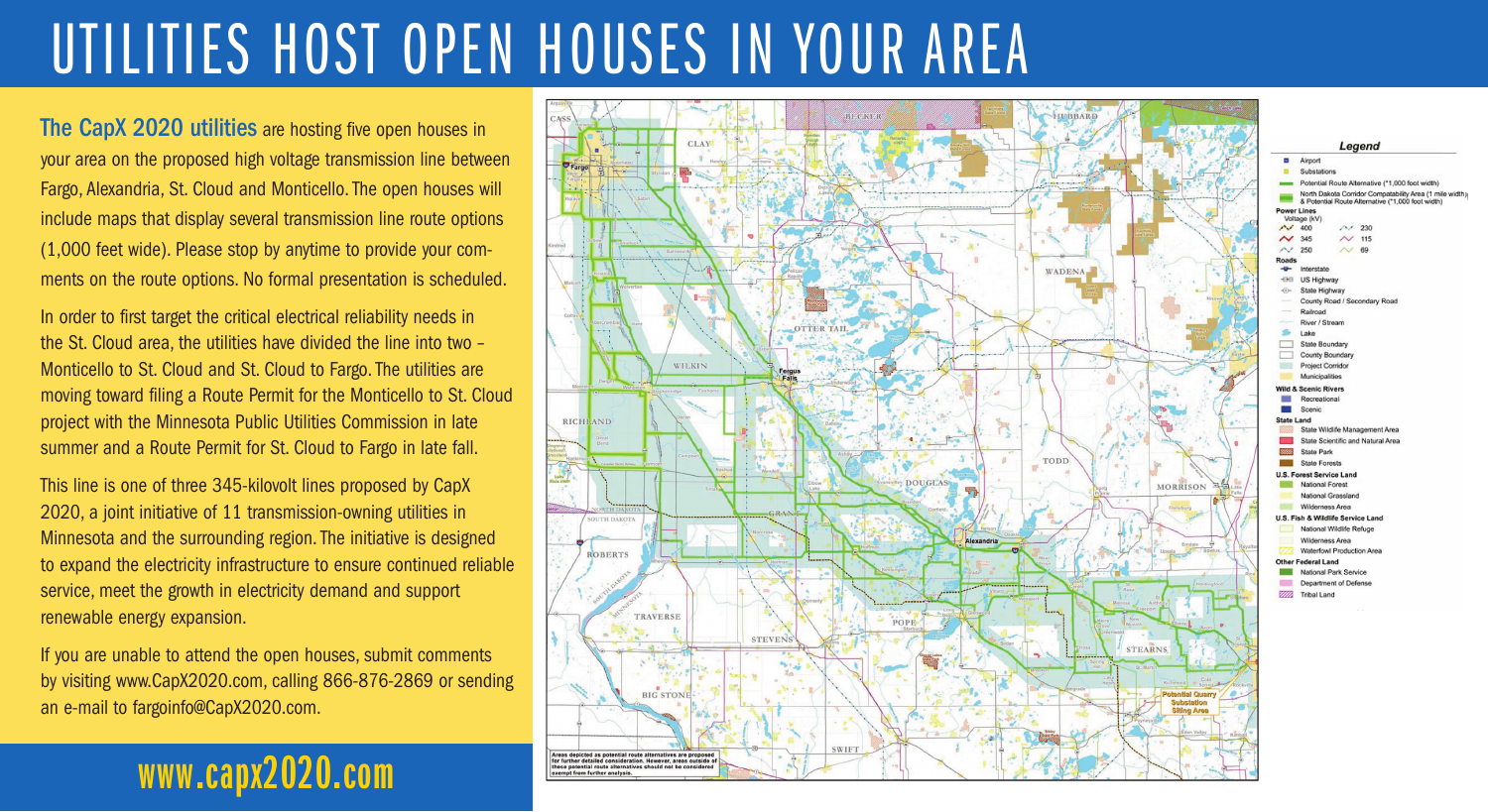# UTILITIES HOST OPEN HOUSES IN YOUR AREA

The CapX 2020 utilities are hosting five open houses in your area on the proposed high voltage transmission line between Fargo, Alexandria, St. Cloud and Monticello. The open houses will include maps that display several transmission line route options (1,000 feet wide). Please stop by anytime to provide your comments on the route options. No formal presentation is scheduled.

In order to first target the critical electrical reliability needs in the St. Cloud area, the utilities have divided the line into two – Monticello to St. Cloud and St. Cloud to Fargo. The utilities are moving toward filing a Route Permit for the Monticello to St. Cloud project with the Minnesota Public Utilities Commission in late summer and a Route Permit for St. Cloud to Fargo in late fall.

This line is one of three 345-kilovolt lines proposed by CapX 2020, a joint initiative of 11 transmission-owning utilities in Minnesota and the surrounding region. The initiative is designed to expand the electricity infrastructure to ensure continued reliable service, meet the growth in electricity demand and support renewable energy expansion.

If you are unable to attend the open houses, submit comments by visiting www.CapX2020.com, calling 866-876-2869 or sending an e-mail to fargoinfo@CapX2020.com.